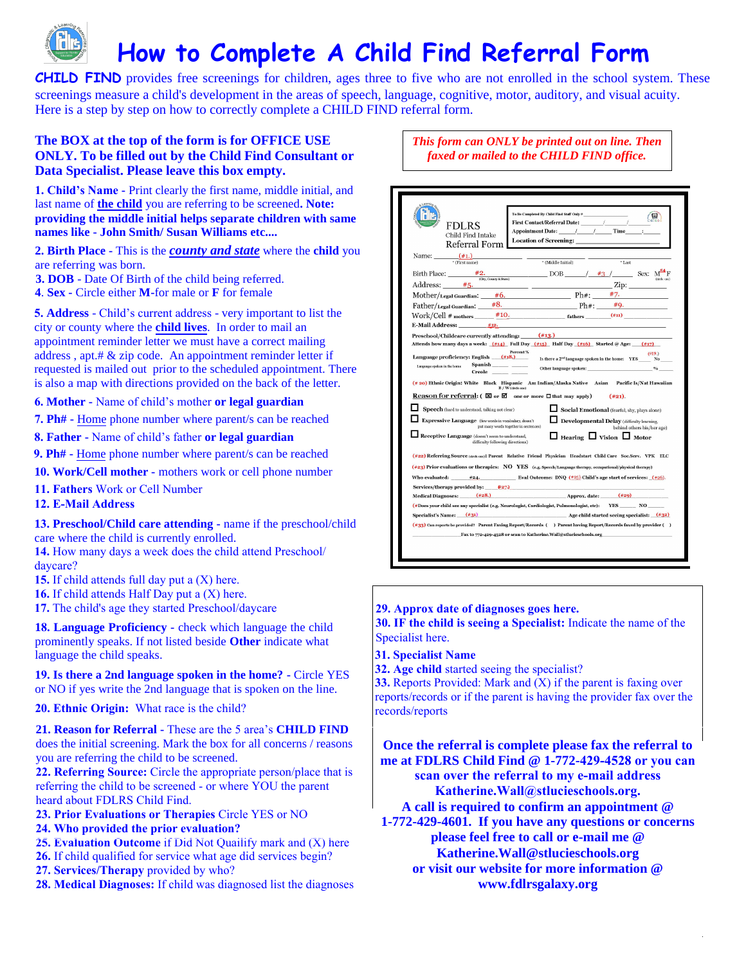

**CHILD FIND** provides free screenings for children, ages three to five who are not enrolled in the school system. These screenings measure a child's development in the areas of speech, language, cognitive, motor, auditory, and visual acuity. Here is a step by step on how to correctly complete a CHILD FIND referral form.

## **The BOX at the top of the form is for OFFICE USE ONLY. To be filled out by the Child Find Consultant or Data Specialist. Please leave this box empty.**

**1. Child's Name -** Print clearly the first name, middle initial, and last name of **the child** you are referring to be screened**. Note: providing the middle initial helps separate children with same names like - John Smith/ Susan Williams etc....**

**2. Birth Place -** This is the *county and state* where the **child** you are referring was born.

**3. DOB** - Date Of Birth of the child being referred.

**4**. **Sex -** Circle either **M-**for male or **F** for female

**5. Address** - Child's current address - very important to list the city or county where the **child lives**. In order to mail an appointment reminder letter we must have a correct mailing address , apt.# & zip code. An appointment reminder letter if requested is mailed out prior to the scheduled appointment. There is also a map with directions provided on the back of the letter.

**6. Mother -** Name of child's mother **or legal guardian**

- **7. Ph#** Home phone number where parent/s can be reached
- **8. Father** Name of child's father **or legal guardian**
- **9. Ph#** Home phone number where parent/s can be reached
- **10. Work/Cell mother** mothers work or cell phone number
- **11. Fathers** Work or Cell Number
- **12. E-Mail Address**

**13. Preschool/Child care attending -** name if the preschool/child care where the child is currently enrolled.

**14.** How many days a week does the child attend Preschool/ daycare?

- **15.** If child attends full day put a (X) here.
- **16.** If child attends Half Day put a (X) here.
- **17.** The child's age they started Preschool/daycare

**18. Language Proficiency -** check which language the child prominently speaks. If not listed beside **Other** indicate what language the child speaks.

**19. Is there a 2nd language spoken in the home? -** Circle YES or NO if yes write the 2nd language that is spoken on the line.

**20. Ethnic Origin:** What race is the child?

**21. Reason for Referral -** These are the 5 area's **CHILD FIND** does the initial screening. Mark the box for all concerns / reasons you are referring the child to be screened.

**22. Referring Source:** Circle the appropriate person/place that is referring the child to be screened - or where YOU the parent heard about FDLRS Child Find.

**23. Prior Evaluations or Therapies** Circle YES or NO

- **24. Who provided the prior evaluation?**
- **25. Evaluation Outcome** if Did Not Quailify mark and (X) here
- **26.** If child qualified for service what age did services begin?
- **27. Services/Therapy** provided by who?
- **28. Medical Diagnoses:** If child was diagnosed list the diagnoses

*This form can ONLY be printed out on line. Then faxed or mailed to the CHILD FIND office.*

| Name: $\frac{(\#1.)}{(\#1.)}$<br>$^\ast$ (Middle Initial)<br>Birth Place: $\frac{\#2}{\cos(\theta)}$ $\frac{\text{F3}}{\text{C}(\text{F3})\text{C}(\text{C3})\text{C}(\text{C3})\text{C}(\text{C3})\text{C}(\text{C3})\text{C}(\text{C3})\text{C}(\text{C3})\text{C}(\text{C3})\text{C}(\text{C3})\text{C}(\text{C3})\text{C}(\text{C3})\text{C}(\text{C3})\text{C}(\text{C3})\text{C}(\text{C3})\text{C}(\text{C3})\text{C}(\text{C3})\text{C}(\text{C$<br>$Address:$ $#5.$<br>the company of the company of<br>Mother/Legal Guardian: $\#6$ . Ph#: $\#7$ .<br>Father/Legal Guardian:<br>$Work/Cell \# \text{mothers}$ $\#10.$ $fathers$ $(\#11)$<br>#12.<br><b>E-Mail Address:</b><br>Preschool/Childcare currently attending: (#13.)<br>Attends how many days a week: $(\frac{\#14}{\#14})$ Full Day $(\frac{\#15}{\#15})$ Half Day $(\frac{\#16}{\#16})$ Started @ Age: $(\frac{\#17}{\#17})$<br>Percent %<br>Language proficiency: English (#18.)<br>Spanish_____________<br>Language spoken in the home<br>Creole ______<br>(# 20) Ethnic Origin: White Black Hispanic Am Indian/Alaska Native Asian Pacific Is/Nat Hawaiian<br>B / W (circle one)<br>Reason for referral: ( ⊠ or Ø one or more □ that may apply)<br>Speech (hard to understand, talking not clear)<br>Expressive Language (few words in vocabulary, doesn't<br>put many words together in sentences)<br>Receptive Language (doesn't seem to understand,<br>difficulty following directions)<br>(#22) Referring Source (drels ane): Parent Relative Friend Physician Headstart Child Care Soc.Serv. VPK ELC<br>$(*23)$ Prior evaluations or therapies: NO YES (e.g. Speech/Language therapy, occupational/physical therapy)<br>Who evaluated: $\#24$ . Eval Outcome: DNQ (#25) Child's age start of services: (#26). | *Last<br>$\mathbb{Z}$ ip:<br>$#8.$ Ph#: $#9.$<br>(219.)<br>Is there a 2 <sup>nd</sup> language spoken in the home: YES No |
|--------------------------------------------------------------------------------------------------------------------------------------------------------------------------------------------------------------------------------------------------------------------------------------------------------------------------------------------------------------------------------------------------------------------------------------------------------------------------------------------------------------------------------------------------------------------------------------------------------------------------------------------------------------------------------------------------------------------------------------------------------------------------------------------------------------------------------------------------------------------------------------------------------------------------------------------------------------------------------------------------------------------------------------------------------------------------------------------------------------------------------------------------------------------------------------------------------------------------------------------------------------------------------------------------------------------------------------------------------------------------------------------------------------------------------------------------------------------------------------------------------------------------------------------------------------------------------------------------------------------------------------------------------------------------------------------------------------------------------------------------------------------------------------------|---------------------------------------------------------------------------------------------------------------------------|
|                                                                                                                                                                                                                                                                                                                                                                                                                                                                                                                                                                                                                                                                                                                                                                                                                                                                                                                                                                                                                                                                                                                                                                                                                                                                                                                                                                                                                                                                                                                                                                                                                                                                                                                                                                                            |                                                                                                                           |
|                                                                                                                                                                                                                                                                                                                                                                                                                                                                                                                                                                                                                                                                                                                                                                                                                                                                                                                                                                                                                                                                                                                                                                                                                                                                                                                                                                                                                                                                                                                                                                                                                                                                                                                                                                                            |                                                                                                                           |
|                                                                                                                                                                                                                                                                                                                                                                                                                                                                                                                                                                                                                                                                                                                                                                                                                                                                                                                                                                                                                                                                                                                                                                                                                                                                                                                                                                                                                                                                                                                                                                                                                                                                                                                                                                                            |                                                                                                                           |
|                                                                                                                                                                                                                                                                                                                                                                                                                                                                                                                                                                                                                                                                                                                                                                                                                                                                                                                                                                                                                                                                                                                                                                                                                                                                                                                                                                                                                                                                                                                                                                                                                                                                                                                                                                                            |                                                                                                                           |
|                                                                                                                                                                                                                                                                                                                                                                                                                                                                                                                                                                                                                                                                                                                                                                                                                                                                                                                                                                                                                                                                                                                                                                                                                                                                                                                                                                                                                                                                                                                                                                                                                                                                                                                                                                                            |                                                                                                                           |
|                                                                                                                                                                                                                                                                                                                                                                                                                                                                                                                                                                                                                                                                                                                                                                                                                                                                                                                                                                                                                                                                                                                                                                                                                                                                                                                                                                                                                                                                                                                                                                                                                                                                                                                                                                                            |                                                                                                                           |
|                                                                                                                                                                                                                                                                                                                                                                                                                                                                                                                                                                                                                                                                                                                                                                                                                                                                                                                                                                                                                                                                                                                                                                                                                                                                                                                                                                                                                                                                                                                                                                                                                                                                                                                                                                                            |                                                                                                                           |
|                                                                                                                                                                                                                                                                                                                                                                                                                                                                                                                                                                                                                                                                                                                                                                                                                                                                                                                                                                                                                                                                                                                                                                                                                                                                                                                                                                                                                                                                                                                                                                                                                                                                                                                                                                                            | (#21)<br>Social Emotional (fearful, shy, plays alone)                                                                     |
|                                                                                                                                                                                                                                                                                                                                                                                                                                                                                                                                                                                                                                                                                                                                                                                                                                                                                                                                                                                                                                                                                                                                                                                                                                                                                                                                                                                                                                                                                                                                                                                                                                                                                                                                                                                            | Developmental Delay (difficulty learning,<br>behind others his/her age)<br>$\Box$ Hearing $\Box$ Vision $\Box$ Motor      |
| Services/therapy provided by: $\sqrt{27}$                                                                                                                                                                                                                                                                                                                                                                                                                                                                                                                                                                                                                                                                                                                                                                                                                                                                                                                                                                                                                                                                                                                                                                                                                                                                                                                                                                                                                                                                                                                                                                                                                                                                                                                                                  |                                                                                                                           |
| Medical Diagnoses: (#28.)                                                                                                                                                                                                                                                                                                                                                                                                                                                                                                                                                                                                                                                                                                                                                                                                                                                                                                                                                                                                                                                                                                                                                                                                                                                                                                                                                                                                                                                                                                                                                                                                                                                                                                                                                                  |                                                                                                                           |
| (#Does your child see any specialist (e.g. Neurologist, Cardiologist, Pulmonologist, etc): YES NO                                                                                                                                                                                                                                                                                                                                                                                                                                                                                                                                                                                                                                                                                                                                                                                                                                                                                                                                                                                                                                                                                                                                                                                                                                                                                                                                                                                                                                                                                                                                                                                                                                                                                          | Approx. date: $(*29)$                                                                                                     |
| Specialist's Name: (#31)                                                                                                                                                                                                                                                                                                                                                                                                                                                                                                                                                                                                                                                                                                                                                                                                                                                                                                                                                                                                                                                                                                                                                                                                                                                                                                                                                                                                                                                                                                                                                                                                                                                                                                                                                                   |                                                                                                                           |
| $(\#33)$ Can reports be provided? Parent Faxing Report/Records () Parent having Report/Records faxed by provider ()<br>Fax to 772-429-4528 or scan to Katherine. Wall@stlucieschools.org                                                                                                                                                                                                                                                                                                                                                                                                                                                                                                                                                                                                                                                                                                                                                                                                                                                                                                                                                                                                                                                                                                                                                                                                                                                                                                                                                                                                                                                                                                                                                                                                   | Age child started seeing specialist: (#32)                                                                                |

## **29. Approx date of diagnoses goes here.**

**30. IF the child is seeing a Specialist:** Indicate the name of the Specialist here.

**31. Specialist Name**

**32. Age child** started seeing the specialist?

**33.** Reports Provided: Mark and (X) if the parent is faxing over reports/records or if the parent is having the provider fax over the records/reports

**Once the referral is complete please fax the referral to me at FDLRS Child Find @ 1-772-429-4528 or you can scan over the referral to my e-mail address Katherine.Wall@stlucieschools.org. A call is required to confirm an appointment @ 1-772-429-4601. If you have any questions or concerns please feel free to call or e-mail me @ Katherine.Wall@stlucieschools.org or visit our website for more information @ www.fdlrsgalaxy.org**